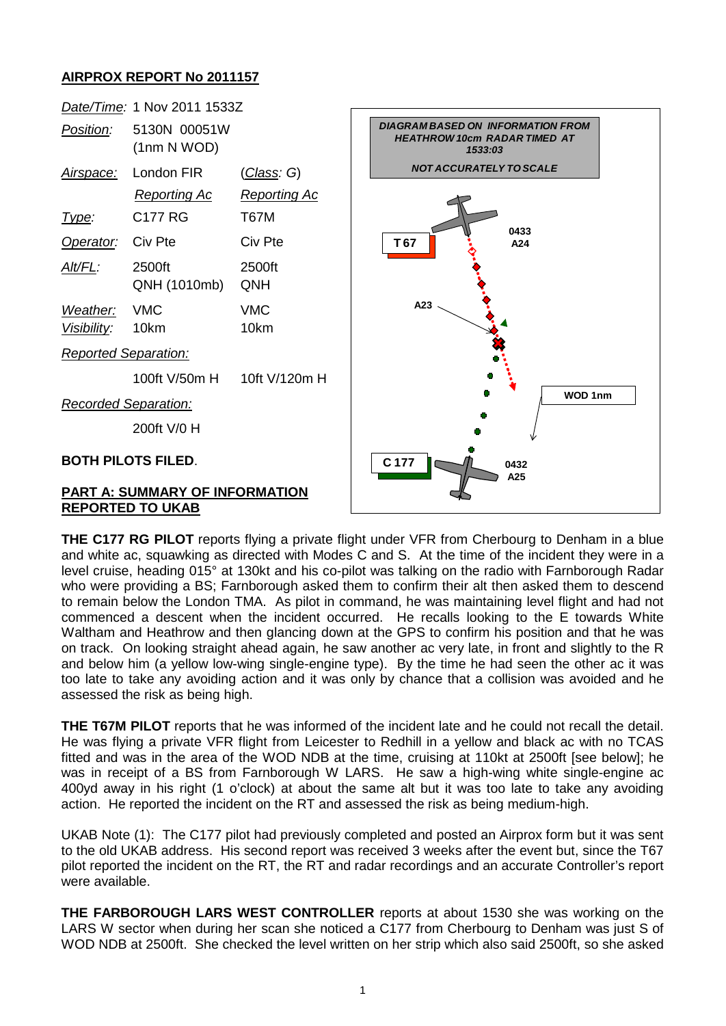## **AIRPROX REPORT No 2011157**



**THE C177 RG PILOT** reports flying a private flight under VFR from Cherbourg to Denham in a blue and white ac, squawking as directed with Modes C and S. At the time of the incident they were in a level cruise, heading 015° at 130kt and his co-pilot was talking on the radio with Farnborough Radar who were providing a BS; Farnborough asked them to confirm their alt then asked them to descend to remain below the London TMA. As pilot in command, he was maintaining level flight and had not commenced a descent when the incident occurred. He recalls looking to the E towards White Waltham and Heathrow and then glancing down at the GPS to confirm his position and that he was on track. On looking straight ahead again, he saw another ac very late, in front and slightly to the R and below him (a yellow low-wing single-engine type). By the time he had seen the other ac it was too late to take any avoiding action and it was only by chance that a collision was avoided and he assessed the risk as being high.

**THE T67M PILOT** reports that he was informed of the incident late and he could not recall the detail. He was flying a private VFR flight from Leicester to Redhill in a yellow and black ac with no TCAS fitted and was in the area of the WOD NDB at the time, cruising at 110kt at 2500ft [see below]; he was in receipt of a BS from Farnborough W LARS. He saw a high-wing white single-engine ac 400yd away in his right (1 o'clock) at about the same alt but it was too late to take any avoiding action. He reported the incident on the RT and assessed the risk as being medium-high.

UKAB Note (1): The C177 pilot had previously completed and posted an Airprox form but it was sent to the old UKAB address. His second report was received 3 weeks after the event but, since the T67 pilot reported the incident on the RT, the RT and radar recordings and an accurate Controller's report were available.

**THE FARBOROUGH LARS WEST CONTROLLER** reports at about 1530 she was working on the LARS W sector when during her scan she noticed a C177 from Cherbourg to Denham was just S of WOD NDB at 2500ft. She checked the level written on her strip which also said 2500ft, so she asked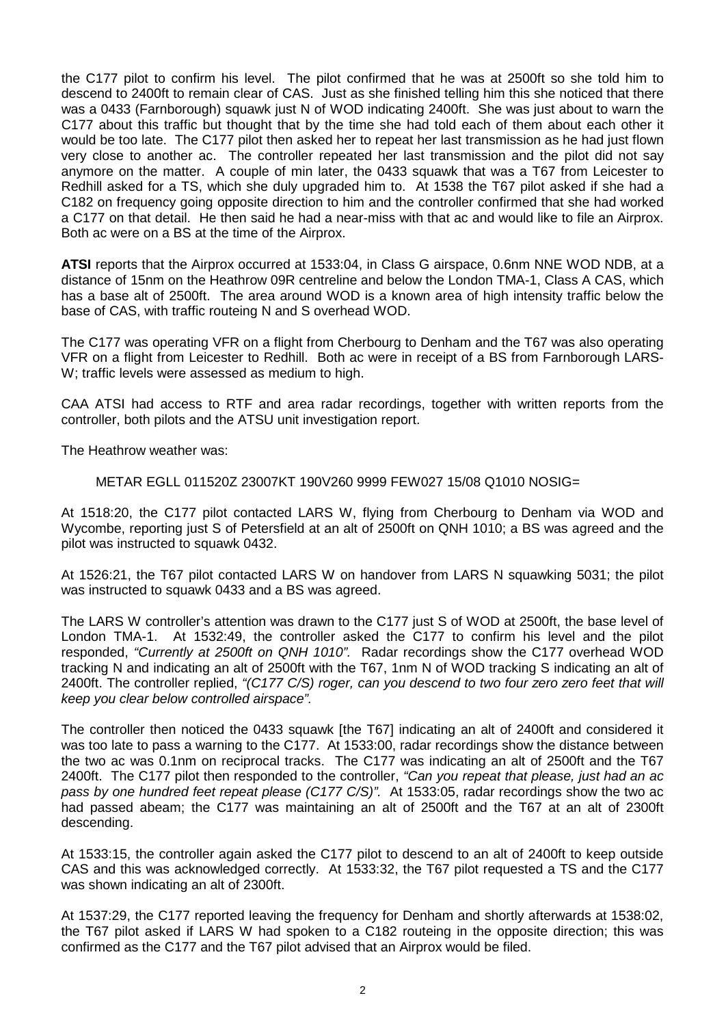the C177 pilot to confirm his level. The pilot confirmed that he was at 2500ft so she told him to descend to 2400ft to remain clear of CAS. Just as she finished telling him this she noticed that there was a 0433 (Farnborough) squawk just N of WOD indicating 2400ft. She was just about to warn the C177 about this traffic but thought that by the time she had told each of them about each other it would be too late. The C177 pilot then asked her to repeat her last transmission as he had just flown very close to another ac. The controller repeated her last transmission and the pilot did not say anymore on the matter. A couple of min later, the 0433 squawk that was a T67 from Leicester to Redhill asked for a TS, which she duly upgraded him to. At 1538 the T67 pilot asked if she had a C182 on frequency going opposite direction to him and the controller confirmed that she had worked a C177 on that detail. He then said he had a near-miss with that ac and would like to file an Airprox. Both ac were on a BS at the time of the Airprox.

**ATSI** reports that the Airprox occurred at 1533:04, in Class G airspace, 0.6nm NNE WOD NDB, at a distance of 15nm on the Heathrow 09R centreline and below the London TMA-1, Class A CAS, which has a base alt of 2500ft. The area around WOD is a known area of high intensity traffic below the base of CAS, with traffic routeing N and S overhead WOD.

The C177 was operating VFR on a flight from Cherbourg to Denham and the T67 was also operating VFR on a flight from Leicester to Redhill. Both ac were in receipt of a BS from Farnborough LARS-W; traffic levels were assessed as medium to high.

CAA ATSI had access to RTF and area radar recordings, together with written reports from the controller, both pilots and the ATSU unit investigation report.

The Heathrow weather was:

METAR EGLL 011520Z 23007KT 190V260 9999 FEW027 15/08 Q1010 NOSIG=

At 1518:20, the C177 pilot contacted LARS W, flying from Cherbourg to Denham via WOD and Wycombe, reporting just S of Petersfield at an alt of 2500ft on QNH 1010; a BS was agreed and the pilot was instructed to squawk 0432.

At 1526:21, the T67 pilot contacted LARS W on handover from LARS N squawking 5031; the pilot was instructed to squawk 0433 and a BS was agreed.

The LARS W controller's attention was drawn to the C177 just S of WOD at 2500ft, the base level of London TMA-1. At 1532:49, the controller asked the C177 to confirm his level and the pilot responded, *"Currently at 2500ft on QNH 1010".* Radar recordings show the C177 overhead WOD tracking N and indicating an alt of 2500ft with the T67, 1nm N of WOD tracking S indicating an alt of 2400ft. The controller replied, *"(C177 C/S) roger, can you descend to two four zero zero feet that will keep you clear below controlled airspace".*

The controller then noticed the 0433 squawk [the T67] indicating an alt of 2400ft and considered it was too late to pass a warning to the C177. At 1533:00, radar recordings show the distance between the two ac was 0.1nm on reciprocal tracks. The C177 was indicating an alt of 2500ft and the T67 2400ft. The C177 pilot then responded to the controller, *"Can you repeat that please, just had an ac pass by one hundred feet repeat please (C177 C/S)".* At 1533:05, radar recordings show the two ac had passed abeam; the C177 was maintaining an alt of 2500ft and the T67 at an alt of 2300ft descending.

At 1533:15, the controller again asked the C177 pilot to descend to an alt of 2400ft to keep outside CAS and this was acknowledged correctly. At 1533:32, the T67 pilot requested a TS and the C177 was shown indicating an alt of 2300ft.

At 1537:29, the C177 reported leaving the frequency for Denham and shortly afterwards at 1538:02, the T67 pilot asked if LARS W had spoken to a C182 routeing in the opposite direction; this was confirmed as the C177 and the T67 pilot advised that an Airprox would be filed.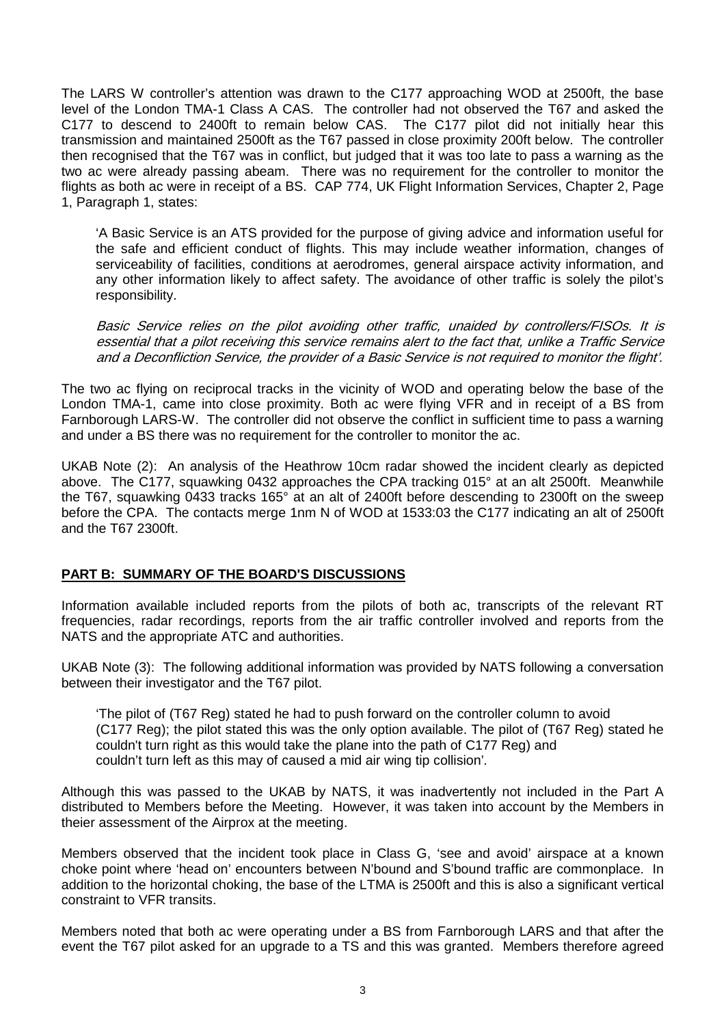The LARS W controller's attention was drawn to the C177 approaching WOD at 2500ft, the base level of the London TMA-1 Class A CAS. The controller had not observed the T67 and asked the C177 to descend to 2400ft to remain below CAS. The C177 pilot did not initially hear this transmission and maintained 2500ft as the T67 passed in close proximity 200ft below. The controller then recognised that the T67 was in conflict, but judged that it was too late to pass a warning as the two ac were already passing abeam. There was no requirement for the controller to monitor the flights as both ac were in receipt of a BS. CAP 774, UK Flight Information Services, Chapter 2, Page 1, Paragraph 1, states:

'A Basic Service is an ATS provided for the purpose of giving advice and information useful for the safe and efficient conduct of flights. This may include weather information, changes of serviceability of facilities, conditions at aerodromes, general airspace activity information, and any other information likely to affect safety. The avoidance of other traffic is solely the pilot's responsibility.

Basic Service relies on the pilot avoiding other traffic, unaided by controllers/FISOs. It is essential that a pilot receiving this service remains alert to the fact that, unlike a Traffic Service and a Deconfliction Service, the provider of a Basic Service is not required to monitor the flight'.

The two ac flying on reciprocal tracks in the vicinity of WOD and operating below the base of the London TMA-1, came into close proximity. Both ac were flying VFR and in receipt of a BS from Farnborough LARS-W. The controller did not observe the conflict in sufficient time to pass a warning and under a BS there was no requirement for the controller to monitor the ac.

UKAB Note (2): An analysis of the Heathrow 10cm radar showed the incident clearly as depicted above. The C177, squawking 0432 approaches the CPA tracking 015° at an alt 2500ft. Meanwhile the T67, squawking 0433 tracks 165° at an alt of 2400ft before descending to 2300ft on the sweep before the CPA. The contacts merge 1nm N of WOD at 1533:03 the C177 indicating an alt of 2500ft and the T67 2300ft.

## **PART B: SUMMARY OF THE BOARD'S DISCUSSIONS**

Information available included reports from the pilots of both ac, transcripts of the relevant RT frequencies, radar recordings, reports from the air traffic controller involved and reports from the NATS and the appropriate ATC and authorities.

UKAB Note (3): The following additional information was provided by NATS following a conversation between their investigator and the T67 pilot.

'The pilot of (T67 Reg) stated he had to push forward on the controller column to avoid (C177 Reg); the pilot stated this was the only option available. The pilot of (T67 Reg) stated he couldn't turn right as this would take the plane into the path of C177 Reg) and couldn't turn left as this may of caused a mid air wing tip collision'*.*

Although this was passed to the UKAB by NATS, it was inadvertently not included in the Part A distributed to Members before the Meeting. However, it was taken into account by the Members in theier assessment of the Airprox at the meeting.

Members observed that the incident took place in Class G, 'see and avoid' airspace at a known choke point where 'head on' encounters between N'bound and S'bound traffic are commonplace. In addition to the horizontal choking, the base of the LTMA is 2500ft and this is also a significant vertical constraint to VFR transits.

Members noted that both ac were operating under a BS from Farnborough LARS and that after the event the T67 pilot asked for an upgrade to a TS and this was granted. Members therefore agreed